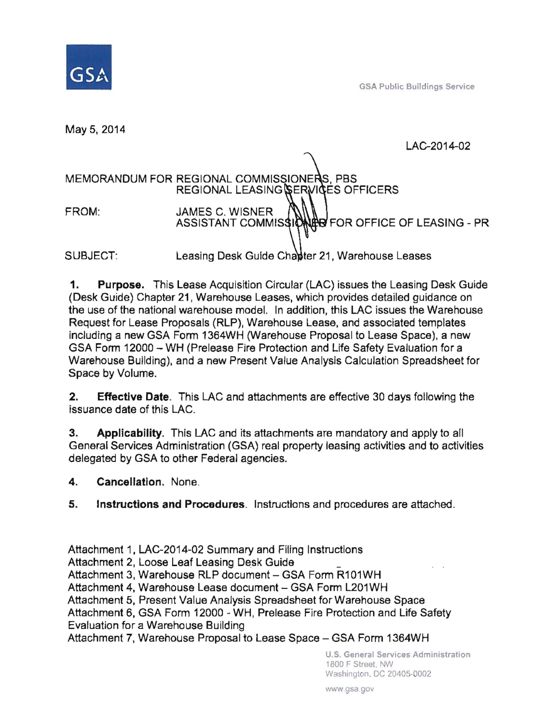

GSA Public Buildings Service

May 5,2014

LAC-2014-02

# MEMORANDUM FOR REGIONAL COMMISSIONERS, PBS REGIONAL LEASING SERVICES OFFICERS FROM: JAMES C. WISNER  $\bigcap_{\text{ASSISTANT COMMISS1D}}$ HO FOR OFFICE OF LEASING - PR SUBJECT: Leasing Desk Guide Chanter 21, Warehouse Leases

1. Purpose. This Lease Acquisition Circular (LAC) issues the Leasing Desk Guide (Desk Guide) Chapter 21 , Warehouse Leases, which provides detailed guidance on the use of the national warehouse model. In addition, this LAC issues the Warehouse Request for Lease Proposals (RLP), Warehouse Lease, and associated templates including a new GSA Form 1364WH (Warehouse Proposal to Lease Space), a new GSA Form 12000 - WH (Prelease Fire Protection and Life Safety Evaluation for a Warehouse Building), and a new Present Value Analysis Calculation Spreadsheet for Space by Volume.

**2.** Effective Date. This LAC and attachments are effective 30 days following the issuance date of this LAC.

3. Applicability. This LAC and its attachments are mandatory and apply to all General Services Administration (GSA) real property leaSing activities and to activities delegated by GSA to other Federal agencies.

4. Cancellation. None.

5. Instructions and Procedures. Instructions and procedures are attached.

Attachment 1, LAC-2014-02 Summary and Filing Instructions

Attachment 2, Loose Leaf Leasing Desk Guide

Attachment 3, Warehouse RLP document - GSA Form R101WH

Attachment 4, Warehouse Lease document - GSA Form L201 WH

Attachment 5, Present Value Analysis Spreadsheet for Warehouse Space

Attachment 6, GSA Form 12000 - WH, Prelease Fire Protection and Life Safety

Evaluation for a Warehouse Building

Attachment 7, Warehouse Proposal to Lease Space - GSA Form 1364WH

u.s. General Services Administration 1800 F Street. NW Washington. DC 20405-0002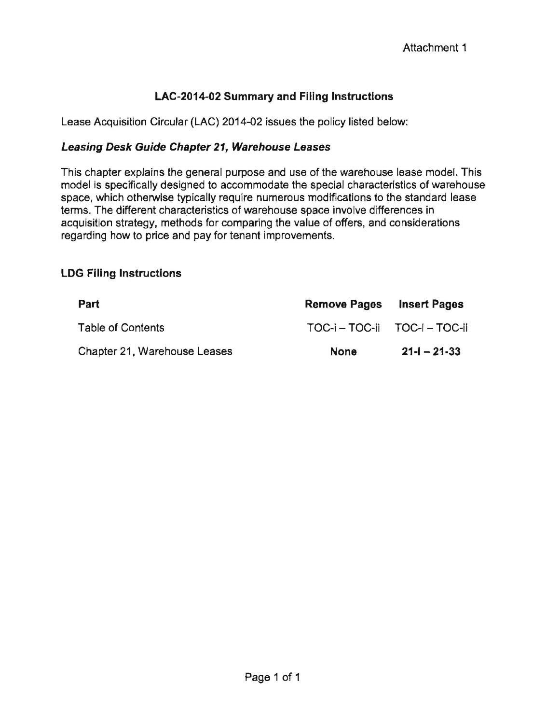## **LAC-2014-02 Summary and Filing Instructions**

Lease Acquisition Circular (LAC) 2014-02 issues the policy listed below:

#### **Leasing Desk Guide Chapter 21, Warehouse Leases**

This chapter explains the general purpose and use of the warehouse lease model. This model is specifically designed to accommodate the special characteristics of warehouse space, which otherwise typically require numerous modifications to the standard lease terms. The different characteristics of warehouse space involve differences in acquisition strategy, methods for comparing the value of offers, and considerations regarding how to price and pay for tenant improvements.

### **LOG Filing Instructions**

| Part                         | <b>Remove Pages</b>           | <b>Insert Pages</b> |
|------------------------------|-------------------------------|---------------------|
| Table of Contents            | TOC-i - TOC-ii TOC-i - TOC-ii |                     |
| Chapter 21, Warehouse Leases | <b>None</b>                   | $21 - 21 - 33$      |